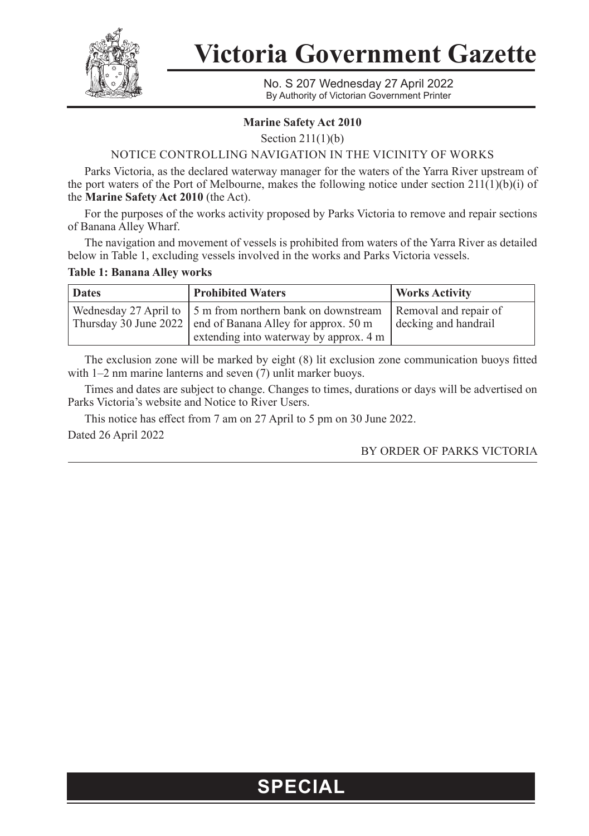

**Victoria Government Gazette**

No. S 207 Wednesday 27 April 2022 By Authority of Victorian Government Printer

### **Marine Safety Act 2010**

Section 211(1)(b)

### NOTICE CONTROLLING NAVIGATION IN THE VICINITY OF WORKS

Parks Victoria, as the declared waterway manager for the waters of the Yarra River upstream of the port waters of the Port of Melbourne, makes the following notice under section  $211(1)(b)(i)$  of the **Marine Safety Act 2010** (the Act).

For the purposes of the works activity proposed by Parks Victoria to remove and repair sections of Banana Alley Wharf.

The navigation and movement of vessels is prohibited from waters of the Yarra River as detailed below in Table 1, excluding vessels involved in the works and Parks Victoria vessels.

#### **Table 1: Banana Alley works**

| <b>Dates</b> | <b>Prohibited Waters</b>                                                                                                                                                           | <b>Works Activity</b>                         |
|--------------|------------------------------------------------------------------------------------------------------------------------------------------------------------------------------------|-----------------------------------------------|
|              | Wednesday 27 April to $\frac{1}{2}$ 5 m from northern bank on downstream<br>Thursday 30 June 2022   end of Banana Alley for approx. 50 m<br>extending into waterway by approx. 4 m | Removal and repair of<br>decking and handrail |

The exclusion zone will be marked by eight (8) lit exclusion zone communication buoys fitted with 1–2 nm marine lanterns and seven (7) unlit marker buoys.

Times and dates are subject to change. Changes to times, durations or days will be advertised on Parks Victoria's website and Notice to River Users.

This notice has effect from 7 am on 27 April to 5 pm on 30 June 2022. Dated 26 April 2022

#### BY ORDER OF PARKS VICTORIA

## **SPECIAL**